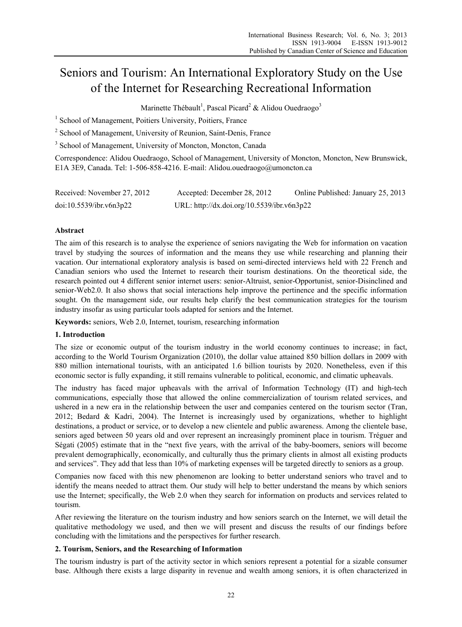# Seniors and Tourism: An International Exploratory Study on the Use of the Internet for Researching Recreational Information

Marinette Thébault<sup>1</sup>, Pascal Picard<sup>2</sup> & Alidou Ouedraogo<sup>3</sup>

<sup>1</sup> School of Management, Poitiers University, Poitiers, France

<sup>2</sup> School of Management, University of Reunion, Saint-Denis, France

<sup>3</sup> School of Management, University of Moncton, Moncton, Canada

Correspondence: Alidou Ouedraogo, School of Management, University of Moncton, Moncton, New Brunswick, E1A 3E9, Canada. Tel: 1-506-858-4216. E-mail: Alidou.ouedraogo@umoncton.ca

| Received: November 27, 2012 | Accepted: December 28, 2012                | Online Published: January 25, 2013 |
|-----------------------------|--------------------------------------------|------------------------------------|
| doi:10.5539/ibr.v6n3p22     | URL: http://dx.doi.org/10.5539/ibr.v6n3p22 |                                    |

# **Abstract**

The aim of this research is to analyse the experience of seniors navigating the Web for information on vacation travel by studying the sources of information and the means they use while researching and planning their vacation. Our international exploratory analysis is based on semi-directed interviews held with 22 French and Canadian seniors who used the Internet to research their tourism destinations. On the theoretical side, the research pointed out 4 different senior internet users: senior-Altruist, senior-Opportunist, senior-Disinclined and senior-Web2.0. It also shows that social interactions help improve the pertinence and the specific information sought. On the management side, our results help clarify the best communication strategies for the tourism industry insofar as using particular tools adapted for seniors and the Internet.

**Keywords:** seniors, Web 2.0, Internet, tourism, researching information

### **1. Introduction**

The size or economic output of the tourism industry in the world economy continues to increase; in fact, according to the World Tourism Organization (2010), the dollar value attained 850 billion dollars in 2009 with 880 million international tourists, with an anticipated 1.6 billion tourists by 2020. Nonetheless, even if this economic sector is fully expanding, it still remains vulnerable to political, economic, and climatic upheavals.

The industry has faced major upheavals with the arrival of Information Technology (IT) and high-tech communications, especially those that allowed the online commercialization of tourism related services, and ushered in a new era in the relationship between the user and companies centered on the tourism sector (Tran, 2012; Bedard & Kadri, 2004). The Internet is increasingly used by organizations, whether to highlight destinations, a product or service, or to develop a new clientele and public awareness. Among the clientele base, seniors aged between 50 years old and over represent an increasingly prominent place in tourism. Tréguer and Ségati (2005) estimate that in the "next five years, with the arrival of the baby-boomers, seniors will become prevalent demographically, economically, and culturally thus the primary clients in almost all existing products and services". They add that less than 10% of marketing expenses will be targeted directly to seniors as a group.

Companies now faced with this new phenomenon are looking to better understand seniors who travel and to identify the means needed to attract them. Our study will help to better understand the means by which seniors use the Internet; specifically, the Web 2.0 when they search for information on products and services related to tourism.

After reviewing the literature on the tourism industry and how seniors search on the Internet, we will detail the qualitative methodology we used, and then we will present and discuss the results of our findings before concluding with the limitations and the perspectives for further research.

# **2. Tourism, Seniors, and the Researching of Information**

The tourism industry is part of the activity sector in which seniors represent a potential for a sizable consumer base. Although there exists a large disparity in revenue and wealth among seniors, it is often characterized in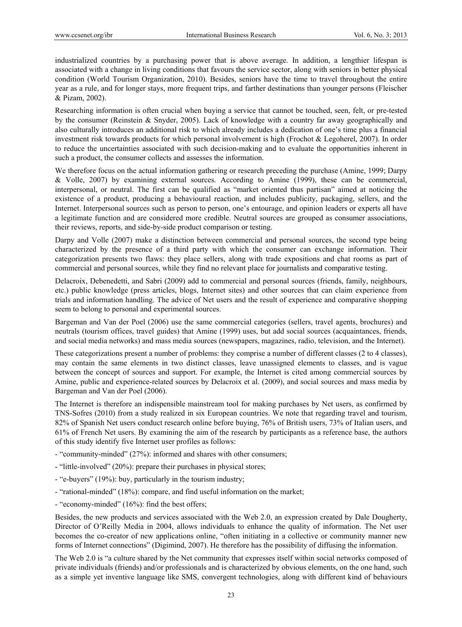industrialized countries by a purchasing power that is above average. In addition, a lengthier lifespan is associated with a change in living conditions that favours the service sector, along with seniors in better physical condition (World Tourism Organization, 2010). Besides, seniors have the time to travel throughout the entire year as a rule, and for longer stays, more frequent trips, and farther destinations than younger persons (Fleischer & Pizam, 2002).

Researching information is often crucial when buying a service that cannot be touched, seen, felt, or pre-tested by the consumer (Reinstein & Snyder, 2005). Lack of knowledge with a country far away geographically and also culturally introduces an additional risk to which already includes a dedication of one's time plus a financial investment risk towards products for which personal involvement is high (Frochot & Legoherel, 2007). In order to reduce the uncertainties associated with such decision-making and to evaluate the opportunities inherent in such a product, the consumer collects and assesses the information.

We therefore focus on the actual information gathering or research preceding the purchase (Amine, 1999; Darpy & Volle, 2007) by examining external sources. According to Amine (1999), these can be commercial, interpersonal, or neutral. The first can be qualified as "market oriented thus partisan" aimed at noticing the existence of a product, producing a behavioural reaction, and includes publicity, packaging, sellers, and the Internet. Interpersonal sources such as person to person, one's entourage, and opinion leaders or experts all have a legitimate function and are considered more credible. Neutral sources are grouped as consumer associations, their reviews, reports, and side-by-side product comparison or testing.

Darpy and Volle (2007) make a distinction between commercial and personal sources, the second type being characterized by the presence of a third party with which the consumer can exchange information. Their categorization presents two flaws: they place sellers, along with trade expositions and chat rooms as part of commercial and personal sources, while they find no relevant place for journalists and comparative testing.

Delacroix, Debenedetti, and Sabri (2009) add to commercial and personal sources (friends, family, neighbours, etc.) public knowledge (press articles, blogs, Internet sites) and other sources that can claim experience from trials and information handling. The advice of Net users and the result of experience and comparative shopping seem to belong to personal and experimental sources.

Bargeman and Van der Poel (2006) use the same commercial categories (sellers, travel agents, brochures) and neutrals (tourism offices, travel guides) that Amine (1999) uses, but add social sources (acquaintances, friends, and social media networks) and mass media sources (newspapers, magazines, radio, television, and the Internet).

These categorizations present a number of problems: they comprise a number of different classes (2 to 4 classes), may contain the same elements in two distinct classes, leave unassigned elements to classes, and is vague between the concept of sources and support. For example, the Internet is cited among commercial sources by Amine, public and experience-related sources by Delacroix et al. (2009), and social sources and mass media by Bargeman and Van der Poel (2006).

The Internet is therefore an indispensible mainstream tool for making purchases by Net users, as confirmed by TNS-Sofres (2010) from a study realized in six European countries. We note that regarding travel and tourism, 82% of Spanish Net users conduct research online before buying, 76% of British users, 73% of Italian users, and 61% of French Net users. By examining the aim of the research by participants as a reference base, the authors of this study identify five Internet user profiles as follows:

- "community-minded" (27%): informed and shares with other consumers;
- "little-involved" (20%): prepare their purchases in physical stores;
- "e-buyers" (19%): buy, particularly in the tourism industry;
- "rational-minded" (18%): compare, and find useful information on the market;
- "economy-minded" (16%): find the best offers;

Besides, the new products and services associated with the Web 2.0, an expression created by Dale Dougherty, Director of O'Reilly Media in 2004, allows individuals to enhance the quality of information. The Net user becomes the co-creator of new applications online, "often initiating in a collective or community manner new forms of Internet connections" (Digimind, 2007). He therefore has the possibility of diffusing the information.

The Web 2.0 is "a culture shared by the Net community that expresses itself within social networks composed of private individuals (friends) and/or professionals and is characterized by obvious elements, on the one hand, such as a simple yet inventive language like SMS, convergent technologies, along with different kind of behaviours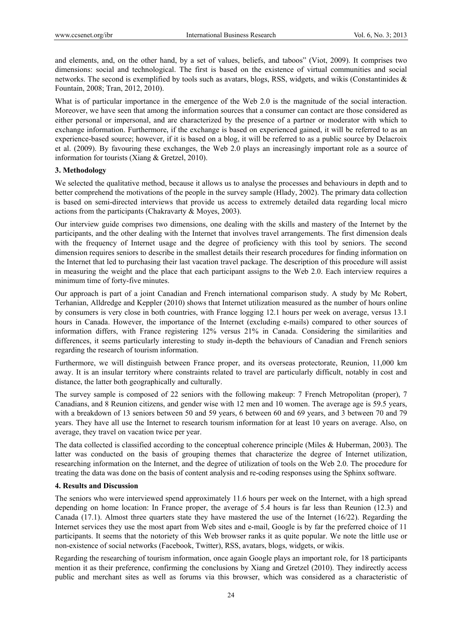and elements, and, on the other hand, by a set of values, beliefs, and taboos" (Viot, 2009). It comprises two dimensions: social and technological. The first is based on the existence of virtual communities and social networks. The second is exemplified by tools such as avatars, blogs, RSS, widgets, and wikis (Constantinides & Fountain, 2008; Tran, 2012, 2010).

What is of particular importance in the emergence of the Web 2.0 is the magnitude of the social interaction. Moreover, we have seen that among the information sources that a consumer can contact are those considered as either personal or impersonal, and are characterized by the presence of a partner or moderator with which to exchange information. Furthermore, if the exchange is based on experienced gained, it will be referred to as an experience-based source; however, if it is based on a blog, it will be referred to as a public source by Delacroix et al. (2009). By favouring these exchanges, the Web 2.0 plays an increasingly important role as a source of information for tourists (Xiang & Gretzel, 2010).

# **3. Methodology**

We selected the qualitative method, because it allows us to analyse the processes and behaviours in depth and to better comprehend the motivations of the people in the survey sample (Hlady, 2002). The primary data collection is based on semi-directed interviews that provide us access to extremely detailed data regarding local micro actions from the participants (Chakravarty & Moyes, 2003).

Our interview guide comprises two dimensions, one dealing with the skills and mastery of the Internet by the participants, and the other dealing with the Internet that involves travel arrangements. The first dimension deals with the frequency of Internet usage and the degree of proficiency with this tool by seniors. The second dimension requires seniors to describe in the smallest details their research procedures for finding information on the Internet that led to purchasing their last vacation travel package. The description of this procedure will assist in measuring the weight and the place that each participant assigns to the Web 2.0. Each interview requires a minimum time of forty-five minutes.

Our approach is part of a joint Canadian and French international comparison study. A study by Mc Robert, Terhanian, Alldredge and Keppler (2010) shows that Internet utilization measured as the number of hours online by consumers is very close in both countries, with France logging 12.1 hours per week on average, versus 13.1 hours in Canada. However, the importance of the Internet (excluding e-mails) compared to other sources of information differs, with France registering 12% versus 21% in Canada. Considering the similarities and differences, it seems particularly interesting to study in-depth the behaviours of Canadian and French seniors regarding the research of tourism information.

Furthermore, we will distinguish between France proper, and its overseas protectorate, Reunion, 11,000 km away. It is an insular territory where constraints related to travel are particularly difficult, notably in cost and distance, the latter both geographically and culturally.

The survey sample is composed of 22 seniors with the following makeup: 7 French Metropolitan (proper), 7 Canadians, and 8 Reunion citizens, and gender wise with 12 men and 10 women. The average age is 59.5 years, with a breakdown of 13 seniors between 50 and 59 years, 6 between 60 and 69 years, and 3 between 70 and 79 years. They have all use the Internet to research tourism information for at least 10 years on average. Also, on average, they travel on vacation twice per year.

The data collected is classified according to the conceptual coherence principle (Miles & Huberman, 2003). The latter was conducted on the basis of grouping themes that characterize the degree of Internet utilization, researching information on the Internet, and the degree of utilization of tools on the Web 2.0. The procedure for treating the data was done on the basis of content analysis and re-coding responses using the Sphinx software.

### **4. Results and Discussion**

The seniors who were interviewed spend approximately 11.6 hours per week on the Internet, with a high spread depending on home location: In France proper, the average of 5.4 hours is far less than Reunion (12.3) and Canada (17.1). Almost three quarters state they have mastered the use of the Internet (16/22). Regarding the Internet services they use the most apart from Web sites and e-mail, Google is by far the preferred choice of 11 participants. It seems that the notoriety of this Web browser ranks it as quite popular. We note the little use or non-existence of social networks (Facebook, Twitter), RSS, avatars, blogs, widgets, or wikis.

Regarding the researching of tourism information, once again Google plays an important role, for 18 participants mention it as their preference, confirming the conclusions by Xiang and Gretzel (2010). They indirectly access public and merchant sites as well as forums via this browser, which was considered as a characteristic of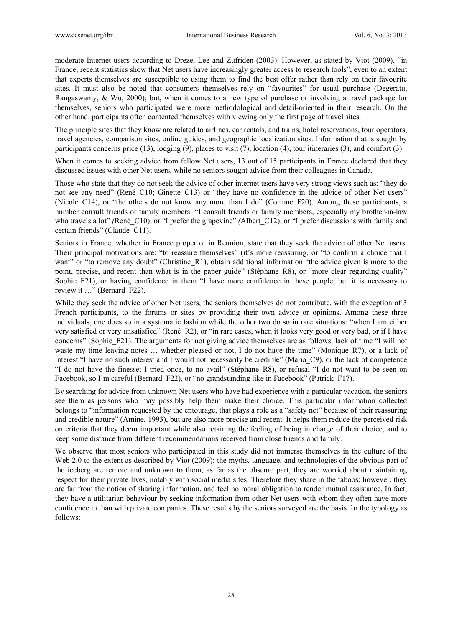moderate Internet users according to Dreze, Lee and Zufriden (2003). However, as stated by Viot (2009), "in France, recent statistics show that Net users have increasingly greater access to research tools", even to an extent that experts themselves are susceptible to using them to find the best offer rather than rely on their favourite sites. It must also be noted that consumers themselves rely on "favourites" for usual purchase (Degeratu, Rangaswamy, & Wu, 2000); but, when it comes to a new type of purchase or involving a travel package for themselves, seniors who participated were more methodological and detail-oriented in their research. On the other hand, participants often contented themselves with viewing only the first page of travel sites.

The principle sites that they know are related to airlines, car rentals, and trains, hotel reservations, tour operators, travel agencies, comparison sites, online guides, and geographic localization sites. Information that is sought by participants concerns price (13), lodging (9), places to visit (7), location (4), tour itineraries (3), and comfort (3).

When it comes to seeking advice from fellow Net users, 13 out of 15 participants in France declared that they discussed issues with other Net users, while no seniors sought advice from their colleagues in Canada.

Those who state that they do not seek the advice of other internet users have very strong views such as: "they do not see any need" (René C10; Ginette C13) or "they have no confidence in the advice of other Net users" (Nicole\_C14), or "the others do not know any more than I do" (Corinne\_F20). Among these participants, a number consult friends or family members: "I consult friends or family members, especially my brother-in-law who travels a lot" *(René C10)*, or "I prefer the grapevine" *(Albert C12)*, or "I prefer discussions with family and certain friends" (Claude\_C11).

Seniors in France, whether in France proper or in Reunion, state that they seek the advice of other Net users. Their principal motivations are: "to reassure themselves" (it's more reassuring, or "to confirm a choice that I want" or "to remove any doubt" (Christine R1), obtain additional information "the advice given is more to the point, precise, and recent than what is in the paper guide" (Stéphane R8), or "more clear regarding quality" Sophie F21), or having confidence in them "I have more confidence in these people, but it is necessary to review it …" (Bernard\_F22).

While they seek the advice of other Net users, the seniors themselves do not contribute, with the exception of 3 French participants, to the forums or sites by providing their own advice or opinions. Among these three individuals, one does so in a systematic fashion while the other two do so in rare situations: "when I am either very satisfied or very unsatisfied" (René\_R2), or "in rare cases, when it looks very good or very bad, or if I have concerns" (Sophie\_F21). The arguments for not giving advice themselves are as follows: lack of time "I will not waste my time leaving notes ... whether pleased or not, I do not have the time" (Monique R7), or a lack of interest "I have no such interest and I would not necessarily be credible" (Maria\_C9), or the lack of competence "I do not have the finesse; I tried once, to no avail" (Stéphane\_R8), or refusal "I do not want to be seen on Facebook, so I'm careful (Bernard F22), or "no grandstanding like in Facebook" (Patrick F17).

By searching for advice from unknown Net users who have had experience with a particular vacation, the seniors see them as persons who may possibly help them make their choice. This particular information collected belongs to "information requested by the entourage, that plays a role as a "safety net" because of their reassuring and credible nature" (Amine, 1993), but are also more precise and recent. It helps them reduce the perceived risk on criteria that they deem important while also retaining the feeling of being in charge of their choice, and to keep some distance from different recommendations received from close friends and family.

We observe that most seniors who participated in this study did not immerse themselves in the culture of the Web 2.0 to the extent as described by Viot (2009): the myths, language, and technologies of the obvious part of the iceberg are remote and unknown to them; as far as the obscure part, they are worried about maintaining respect for their private lives, notably with social media sites. Therefore they share in the taboos; however, they are far from the notion of sharing information, and feel no moral obligation to render mutual assistance. In fact, they have a utilitarian behaviour by seeking information from other Net users with whom they often have more confidence in than with private companies. These results by the seniors surveyed are the basis for the typology as follows: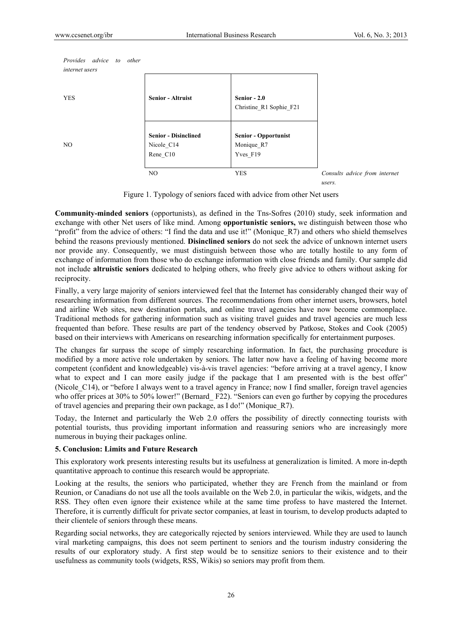| Provides advice to other<br>internet users |                                                       |                                                       |                                         |
|--------------------------------------------|-------------------------------------------------------|-------------------------------------------------------|-----------------------------------------|
| <b>YES</b>                                 | <b>Senior - Altruist</b>                              | Senior - 2.0<br>Christine_R1 Sophie_F21               |                                         |
| NO.                                        | <b>Senior - Disinclined</b><br>Nicole C14<br>Rene C10 | <b>Senior - Opportunist</b><br>Monique R7<br>Yves F19 |                                         |
|                                            | NO.                                                   | <b>YES</b>                                            | Consults advice from internet<br>users. |

Figure 1. Typology of seniors faced with advice from other Net users

**Community-minded seniors** (opportunists), as defined in the Tns-Sofres (2010) study, seek information and exchange with other Net users of like mind. Among **opportunistic seniors,** we distinguish between those who "profit" from the advice of others: "I find the data and use it!" (Monique\_R7) and others who shield themselves behind the reasons previously mentioned. **Disinclined seniors** do not seek the advice of unknown internet users nor provide any. Consequently, we must distinguish between those who are totally hostile to any form of exchange of information from those who do exchange information with close friends and family. Our sample did not include **altruistic seniors** dedicated to helping others, who freely give advice to others without asking for reciprocity.

Finally, a very large majority of seniors interviewed feel that the Internet has considerably changed their way of researching information from different sources. The recommendations from other internet users, browsers, hotel and airline Web sites, new destination portals, and online travel agencies have now become commonplace. Traditional methods for gathering information such as visiting travel guides and travel agencies are much less frequented than before. These results are part of the tendency observed by Patkose, Stokes and Cook (2005) based on their interviews with Americans on researching information specifically for entertainment purposes.

The changes far surpass the scope of simply researching information. In fact, the purchasing procedure is modified by a more active role undertaken by seniors. The latter now have a feeling of having become more competent (confident and knowledgeable) vis-à-vis travel agencies: "before arriving at a travel agency, I know what to expect and I can more easily judge if the package that I am presented with is the best offer" (Nicole\_C14), or "before I always went to a travel agency in France; now I find smaller, foreign travel agencies who offer prices at 30% to 50% lower!" (Bernard F22). "Seniors can even go further by copying the procedures of travel agencies and preparing their own package, as I do!" (Monique\_R7).

Today, the Internet and particularly the Web 2.0 offers the possibility of directly connecting tourists with potential tourists, thus providing important information and reassuring seniors who are increasingly more numerous in buying their packages online.

### **5. Conclusion: Limits and Future Research**

This exploratory work presents interesting results but its usefulness at generalization is limited. A more in-depth quantitative approach to continue this research would be appropriate.

Looking at the results, the seniors who participated, whether they are French from the mainland or from Reunion, or Canadians do not use all the tools available on the Web 2.0, in particular the wikis, widgets, and the RSS. They often even ignore their existence while at the same time profess to have mastered the Internet. Therefore, it is currently difficult for private sector companies, at least in tourism, to develop products adapted to their clientele of seniors through these means.

Regarding social networks, they are categorically rejected by seniors interviewed. While they are used to launch viral marketing campaigns, this does not seem pertinent to seniors and the tourism industry considering the results of our exploratory study. A first step would be to sensitize seniors to their existence and to their usefulness as community tools (widgets, RSS, Wikis) so seniors may profit from them.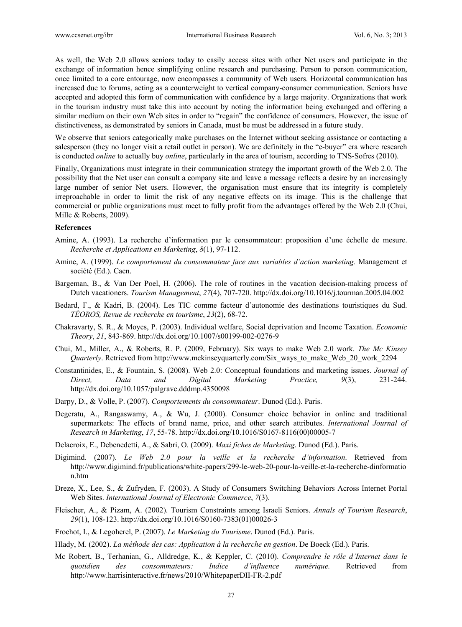As well, the Web 2.0 allows seniors today to easily access sites with other Net users and participate in the exchange of information hence simplifying online research and purchasing. Person to person communication, once limited to a core entourage, now encompasses a community of Web users. Horizontal communication has increased due to forums, acting as a counterweight to vertical company-consumer communication. Seniors have accepted and adopted this form of communication with confidence by a large majority. Organizations that work in the tourism industry must take this into account by noting the information being exchanged and offering a similar medium on their own Web sites in order to "regain" the confidence of consumers. However, the issue of distinctiveness, as demonstrated by seniors in Canada, must be must be addressed in a future study.

We observe that seniors categorically make purchases on the Internet without seeking assistance or contacting a salesperson (they no longer visit a retail outlet in person). We are definitely in the "e-buyer" era where research is conducted *online* to actually buy *online*, particularly in the area of tourism, according to TNS-Sofres (2010).

Finally, Organizations must integrate in their communication strategy the important growth of the Web 2.0. The possibility that the Net user can consult a company site and leave a message reflects a desire by an increasingly large number of senior Net users. However, the organisation must ensure that its integrity is completely irreproachable in order to limit the risk of any negative effects on its image. This is the challenge that commercial or public organizations must meet to fully profit from the advantages offered by the Web 2.0 (Chui, Mille & Roberts, 2009).

#### **References**

- Amine, A. (1993). La recherche d'information par le consommateur: proposition d'une échelle de mesure. *Recherche et Applications en Marketing*, *8*(1), 97-112.
- Amine, A. (1999). *Le comportement du consommateur face aux variables d'action marketing.* Management et société (Ed.). Caen.
- Bargeman, B., & Van Der Poel, H. (2006). The role of routines in the vacation decision-making process of Dutch vacationers. *Tourism Management*, *27*(4), 707-720. http://dx.doi.org/10.1016/j.tourman.2005.04.002
- Bedard, F., & Kadri, B. (2004). Les TIC comme facteur d'autonomie des destinations touristiques du Sud. *TÉOROS, Revue de recherche en tourisme*, *23*(2), 68-72.
- Chakravarty, S. R., & Moyes, P. (2003). Individual welfare, Social deprivation and Income Taxation. *Economic Theory*, *21*, 843-869. http://dx.doi.org/10.1007/s00199-002-0276-9
- Chui, M., Miller, A., & Roberts, R. P. (2009, February). Six ways to make Web 2.0 work. *The Mc Kinsey Quarterly*. Retrieved from http://www.mckinseyquarterly.com/Six\_ways\_to\_make\_Web\_20\_work\_2294
- Constantinides, E., & Fountain, S. (2008). Web 2.0: Conceptual foundations and marketing issues. *Journal of Direct, Data and Digital Marketing Practice, 9*(3), 231-244. http://dx.doi.org/10.1057/palgrave.dddmp.4350098
- Darpy, D., & Volle, P. (2007). *Comportements du consommateur*. Dunod (Ed.). Paris.
- Degeratu, A., Rangaswamy, A., & Wu, J. (2000). Consumer choice behavior in online and traditional supermarkets: The effects of brand name, price, and other search attributes. *International Journal of Research in Marketing*, *17*, 55-78. http://dx.doi.org/10.1016/S0167-8116(00)00005-7
- Delacroix, E., Debenedetti, A., & Sabri, O. (2009). *Maxi fiches de Marketing*. Dunod (Ed.). Paris.
- Digimind. (2007). *Le Web 2.0 pour la veille et la recherche d'information*. Retrieved from http://www.digimind.fr/publications/white-papers/299-le-web-20-pour-la-veille-et-la-recherche-dinformatio n.htm
- Dreze, X., Lee, S., & Zufryden, F. (2003). A Study of Consumers Switching Behaviors Across Internet Portal Web Sites. *International Journal of Electronic Commerce*, *7*(3).
- Fleischer, A., & Pizam, A. (2002). Tourism Constraints among Israeli Seniors. *Annals of Tourism Research*, *29*(1), 108-123. http://dx.doi.org/10.1016/S0160-7383(01)00026-3
- Frochot, I., & Legoherel, P. (2007). *Le Marketing du Tourisme*. Dunod (Ed.). Paris.

Hlady, M. (2002). *La méthode des cas: Application à la recherche en gestion*. De Boeck (Ed.). Paris.

Mc Robert, B., Terhanian, G., Alldredge, K., & Keppler, C. (2010). *Comprendre le rôle d'Internet dans le quotidien des consommateurs: Indice d'influence numérique.* Retrieved from http://www.harrisinteractive.fr/news/2010/WhitepaperDII-FR-2.pdf